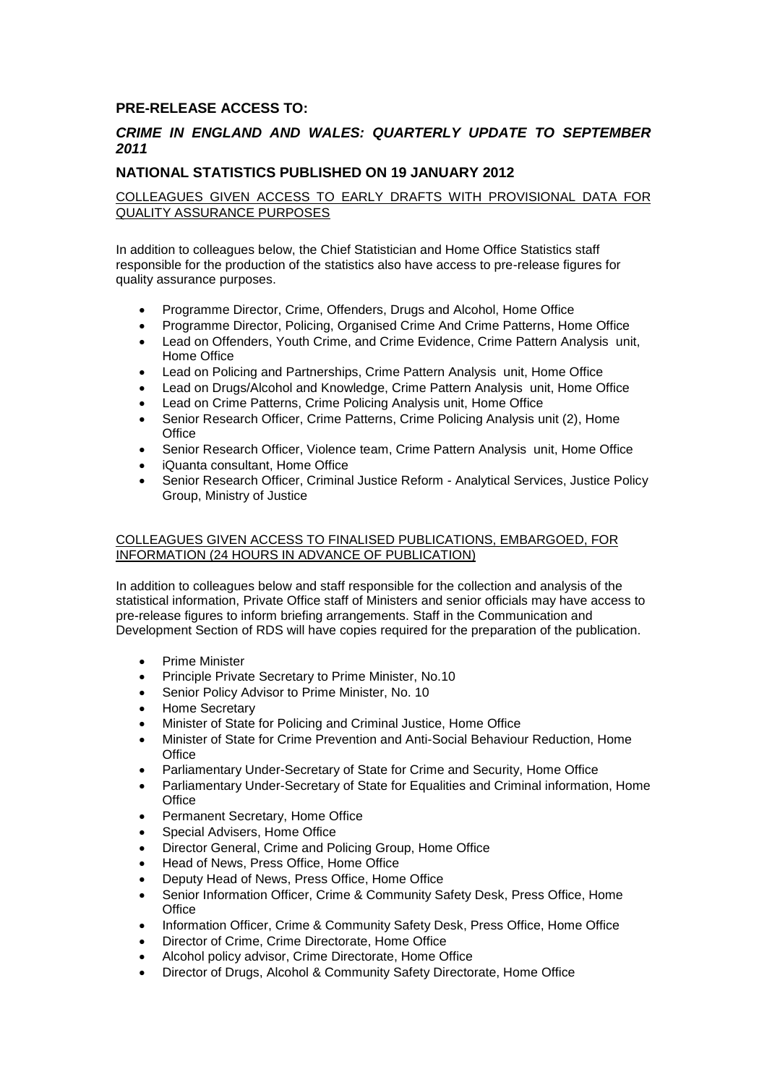## **PRE-RELEASE ACCESS TO:**

## *CRIME IN ENGLAND AND WALES: QUARTERLY UPDATE TO SEPTEMBER 2011*

## **NATIONAL STATISTICS PUBLISHED ON 19 JANUARY 2012**

COLLEAGUES GIVEN ACCESS TO EARLY DRAFTS WITH PROVISIONAL DATA FOR QUALITY ASSURANCE PURPOSES

In addition to colleagues below, the Chief Statistician and Home Office Statistics staff responsible for the production of the statistics also have access to pre-release figures for quality assurance purposes.

- Programme Director, Crime, Offenders, Drugs and Alcohol, Home Office
- Programme Director, Policing, Organised Crime And Crime Patterns, Home Office
- Lead on Offenders, Youth Crime, and Crime Evidence, Crime Pattern Analysis unit, Home Office
- Lead on Policing and Partnerships, Crime Pattern Analysis unit, Home Office
- Lead on Drugs/Alcohol and Knowledge, Crime Pattern Analysis unit, Home Office
- Lead on Crime Patterns, Crime Policing Analysis unit, Home Office
- Senior Research Officer, Crime Patterns, Crime Policing Analysis unit (2), Home **Office**
- Senior Research Officer, Violence team, Crime Pattern Analysis unit, Home Office
- iQuanta consultant, Home Office
- Senior Research Officer, Criminal Justice Reform Analytical Services, Justice Policy Group, Ministry of Justice

## COLLEAGUES GIVEN ACCESS TO FINALISED PUBLICATIONS, EMBARGOED, FOR INFORMATION (24 HOURS IN ADVANCE OF PUBLICATION)

In addition to colleagues below and staff responsible for the collection and analysis of the statistical information, Private Office staff of Ministers and senior officials may have access to pre-release figures to inform briefing arrangements. Staff in the Communication and Development Section of RDS will have copies required for the preparation of the publication.

- Prime Minister
- Principle Private Secretary to Prime Minister, No.10
- Senior Policy Advisor to Prime Minister, No. 10
- Home Secretary
- Minister of State for Policing and Criminal Justice, Home Office
- Minister of State for Crime Prevention and Anti-Social Behaviour Reduction, Home **Office**
- Parliamentary Under-Secretary of State for Crime and Security, Home Office
- Parliamentary Under-Secretary of State for Equalities and Criminal information, Home **Office**
- Permanent Secretary, Home Office
- Special Advisers, Home Office
- Director General, Crime and Policing Group, Home Office
- Head of News, Press Office, Home Office
- Deputy Head of News, Press Office, Home Office
- Senior Information Officer, Crime & Community Safety Desk, Press Office, Home **Office**
- Information Officer, Crime & Community Safety Desk, Press Office, Home Office
- Director of Crime, Crime Directorate, Home Office
- Alcohol policy advisor, Crime Directorate, Home Office
- Director of Drugs, Alcohol & Community Safety Directorate, Home Office